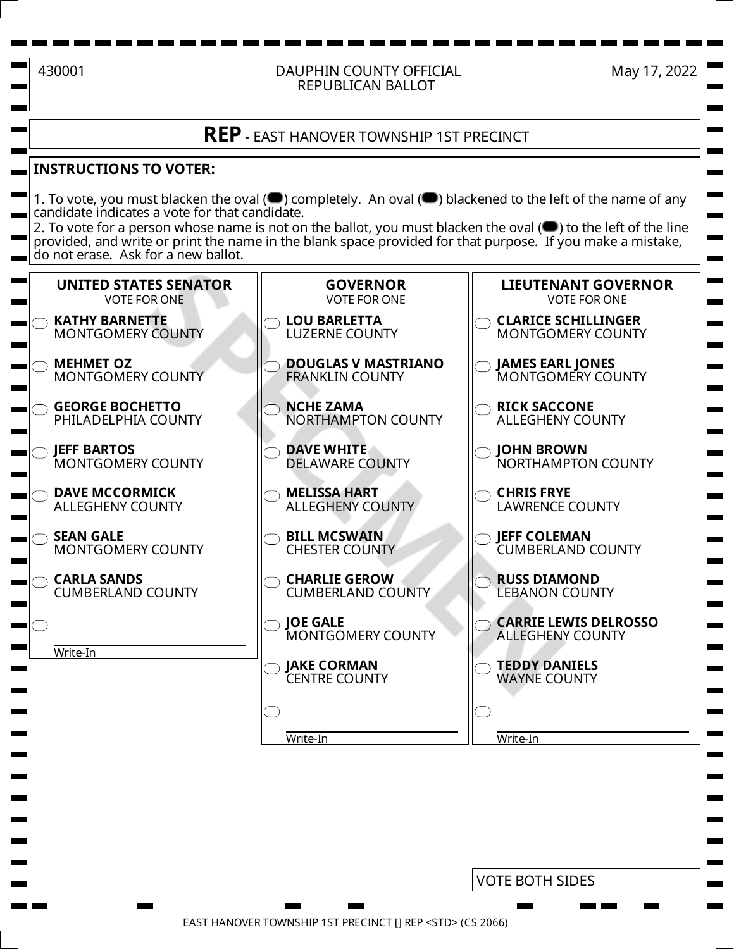## 430001 DAUPHIN COUNTY OFFICIAL REPUBLICAN BALLOT

May 17, 2022

## **REP**- EAST HANOVER TOWNSHIP 1ST PRECINCT

## **INSTRUCTIONS TO VOTER:**

1. To vote, you must blacken the oval ( $\blacksquare$ ) completely. An oval ( $\blacksquare$ ) blackened to the left of the name of any candidate indicates a vote for that candidate.

2. To vote for a person whose name is not on the ballot, you must blacken the oval ( $\blacksquare$ ) to the left of the line provided, and write or print the name in the blank space provided for that purpose. If you make a mistake, do not erase. Ask for a new ballot.



VOTE BOTH SIDES